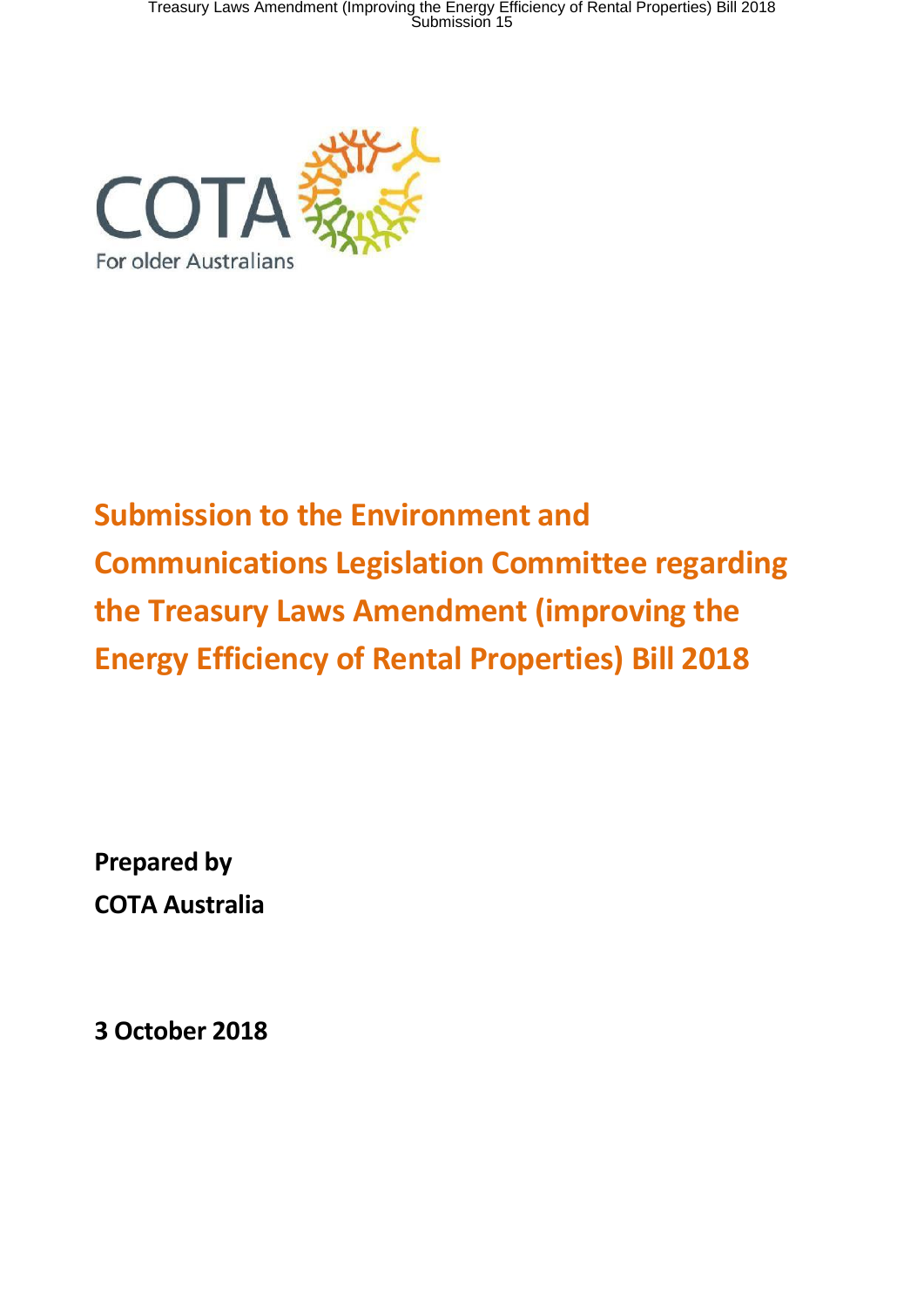Treasury Laws Amendment (Improving the Energy Efficiency of Rental Properties) Bill 2018<br>Submission 15



# **Submission to the Environment and Communications Legislation Committee regarding the Treasury Laws Amendment (improving the Energy Efficiency of Rental Properties) Bill 2018**

**Prepared by COTA Australia**

**3 October 2018**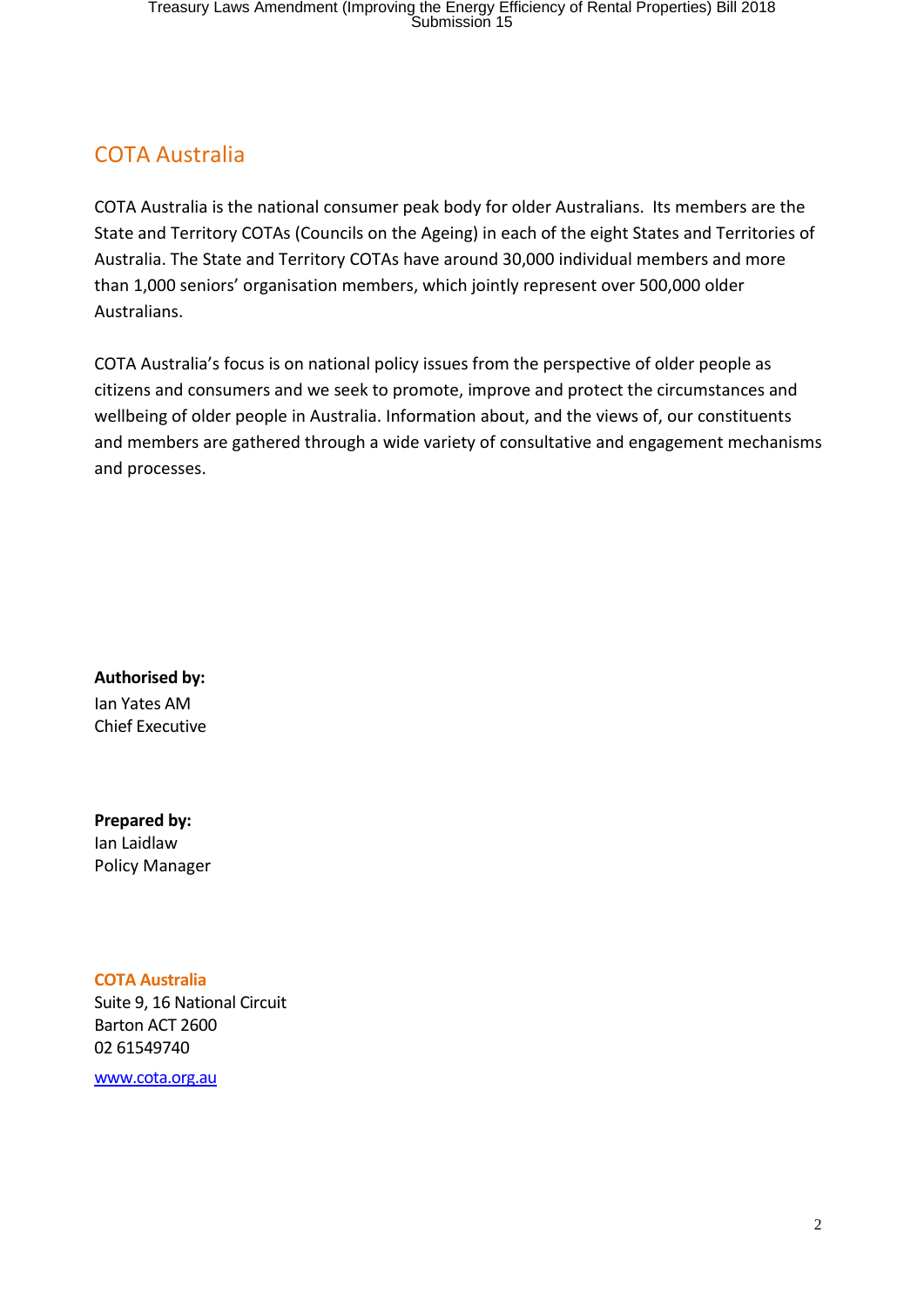## COTA Australia

COTA Australia is the national consumer peak body for older Australians. Its members are the State and Territory COTAs (Councils on the Ageing) in each of the eight States and Territories of Australia. The State and Territory COTAs have around 30,000 individual members and more than 1,000 seniors' organisation members, which jointly represent over 500,000 older Australians.

COTA Australia's focus is on national policy issues from the perspective of older people as citizens and consumers and we seek to promote, improve and protect the circumstances and wellbeing of older people in Australia. Information about, and the views of, our constituents and members are gathered through a wide variety of consultative and engagement mechanisms and processes.

**Authorised by:** Ian Yates AM

Chief Executive

**Prepared by:** Ian Laidlaw Policy Manager

#### **COTA Australia**

Suite 9, 16 National Circuit Barton ACT 2600 02 61549740

www.cota.org.au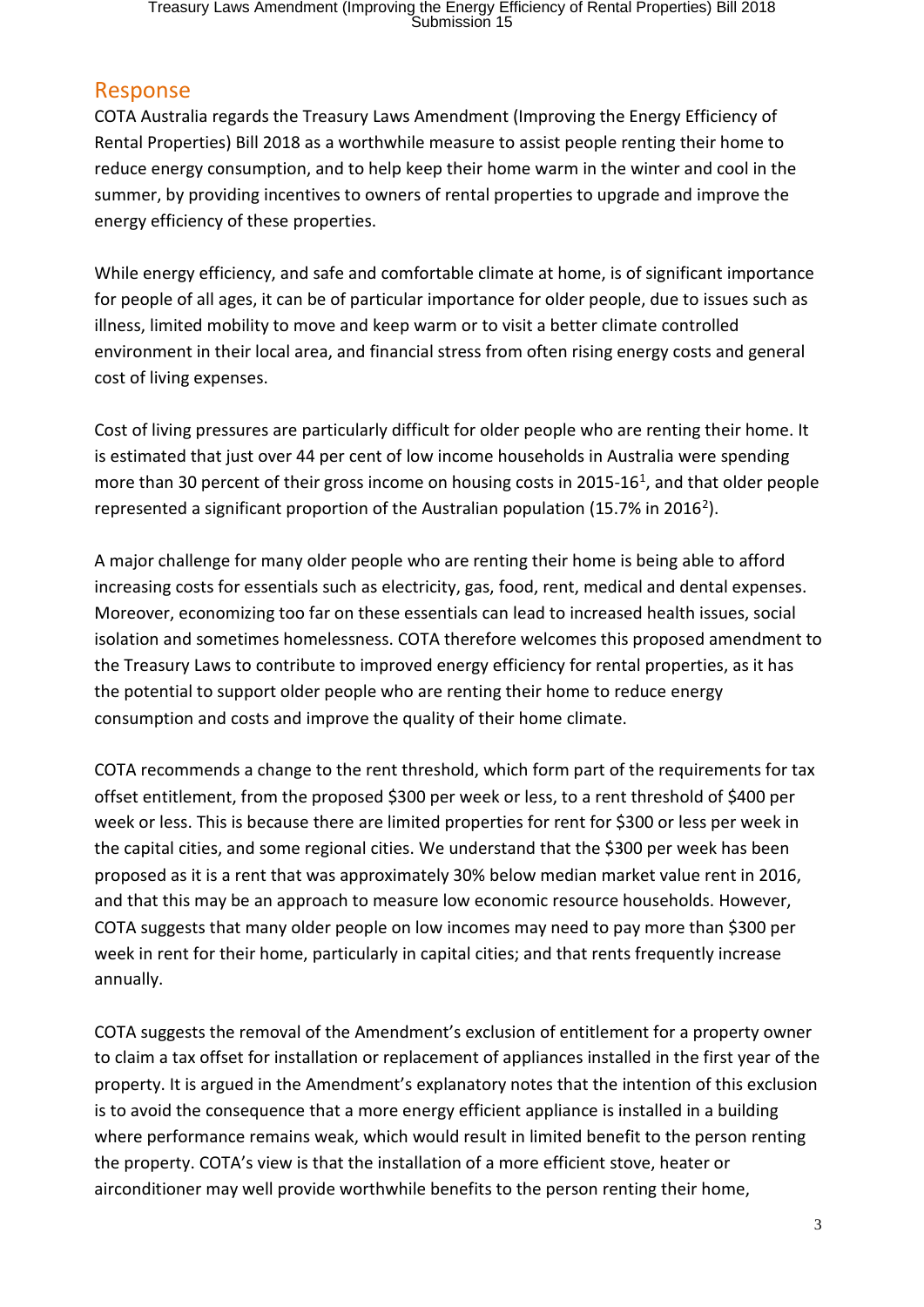# Treasury Laws Amendment (Improving the Energy Efficiency of Rental Properties) Bill 2018<br>Submission 15

### Response

COTA Australia regards the Treasury Laws Amendment (Improving the Energy Efficiency of Rental Properties) Bill 2018 as a worthwhile measure to assist people renting their home to reduce energy consumption, and to help keep their home warm in the winter and cool in the summer, by providing incentives to owners of rental properties to upgrade and improve the energy efficiency of these properties.

While energy efficiency, and safe and comfortable climate at home, is of significant importance for people of all ages, it can be of particular importance for older people, due to issues such as illness, limited mobility to move and keep warm or to visit a better climate controlled environment in their local area, and financial stress from often rising energy costs and general cost of living expenses.

Cost of living pressures are particularly difficult for older people who are renting their home. It is estimated that just over 44 per cent of low income households in Australia were spending more than 30 percent of their gross income on housing costs in 2015-16<sup>1</sup>, and that older people represented a significant proportion of the Australian population (15.7% in 2016<sup>2</sup>).

A major challenge for many older people who are renting their home is being able to afford increasing costs for essentials such as electricity, gas, food, rent, medical and dental expenses. Moreover, economizing too far on these essentials can lead to increased health issues, social isolation and sometimes homelessness. COTA therefore welcomes this proposed amendment to the Treasury Laws to contribute to improved energy efficiency for rental properties, as it has the potential to support older people who are renting their home to reduce energy consumption and costs and improve the quality of their home climate.

COTA recommends a change to the rent threshold, which form part of the requirements for tax offset entitlement, from the proposed \$300 per week or less, to a rent threshold of \$400 per week or less. This is because there are limited properties for rent for \$300 or less per week in the capital cities, and some regional cities. We understand that the \$300 per week has been proposed as it is a rent that was approximately 30% below median market value rent in 2016, and that this may be an approach to measure low economic resource households. However, COTA suggests that many older people on low incomes may need to pay more than \$300 per week in rent for their home, particularly in capital cities; and that rents frequently increase annually.

COTA suggests the removal of the Amendment's exclusion of entitlement for a property owner to claim a tax offset for installation or replacement of appliances installed in the first year of the property. It is argued in the Amendment's explanatory notes that the intention of this exclusion is to avoid the consequence that a more energy efficient appliance is installed in a building where performance remains weak, which would result in limited benefit to the person renting the property. COTA's view is that the installation of a more efficient stove, heater or airconditioner may well provide worthwhile benefits to the person renting their home,